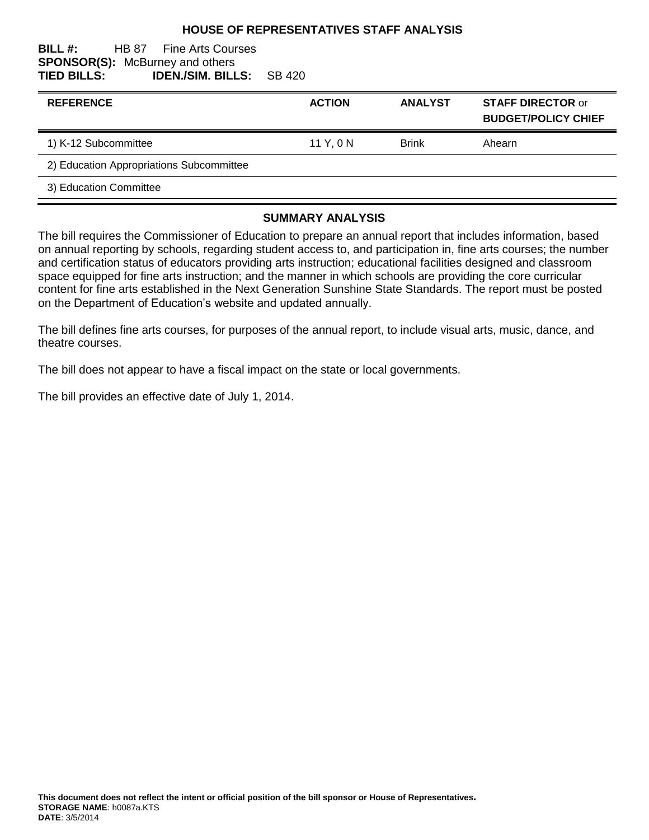#### **HOUSE OF REPRESENTATIVES STAFF ANALYSIS**

#### **BILL #:** HB 87 Fine Arts Courses **SPONSOR(S):** McBurney and others **TIED BILLS: IDEN./SIM. BILLS:** SB 420

| <b>REFERENCE</b>                         | <b>ACTION</b> | <b>ANALYST</b> | <b>STAFF DIRECTOR or</b><br><b>BUDGET/POLICY CHIEF</b> |
|------------------------------------------|---------------|----------------|--------------------------------------------------------|
| 1) K-12 Subcommittee                     | 11 Y, 0 N     | <b>Brink</b>   | Ahearn                                                 |
| 2) Education Appropriations Subcommittee |               |                |                                                        |
| 3) Education Committee                   |               |                |                                                        |
|                                          |               |                |                                                        |

#### **SUMMARY ANALYSIS**

The bill requires the Commissioner of Education to prepare an annual report that includes information, based on annual reporting by schools, regarding student access to, and participation in, fine arts courses; the number and certification status of educators providing arts instruction; educational facilities designed and classroom space equipped for fine arts instruction; and the manner in which schools are providing the core curricular content for fine arts established in the Next Generation Sunshine State Standards. The report must be posted on the Department of Education's website and updated annually.

The bill defines fine arts courses, for purposes of the annual report, to include visual arts, music, dance, and theatre courses.

The bill does not appear to have a fiscal impact on the state or local governments.

The bill provides an effective date of July 1, 2014.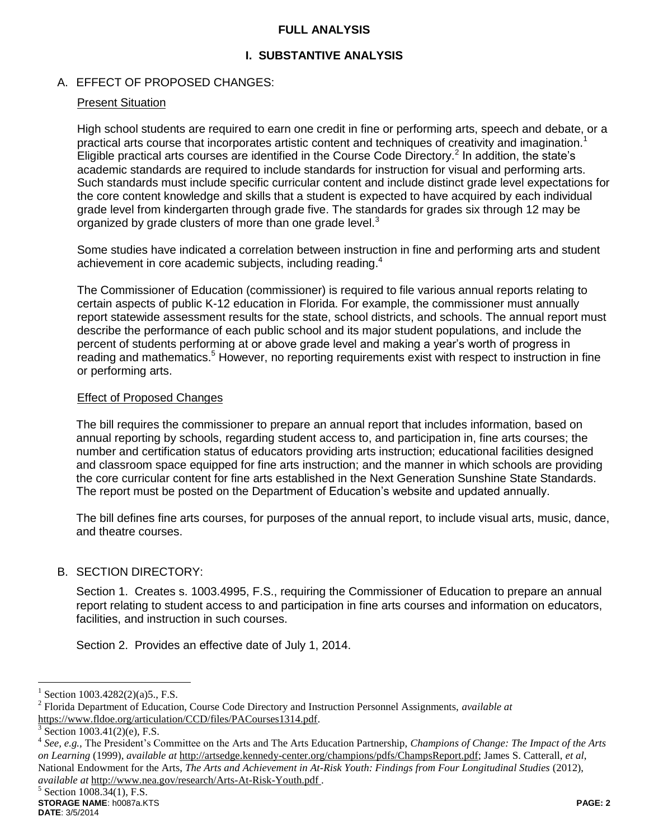#### **FULL ANALYSIS**

## **I. SUBSTANTIVE ANALYSIS**

## A. EFFECT OF PROPOSED CHANGES:

#### Present Situation

High school students are required to earn one credit in fine or performing arts, speech and debate, or a practical arts course that incorporates artistic content and techniques of creativity and imagination.<sup>1</sup> Eligible practical arts courses are identified in the Course Code Directory.<sup>2</sup> In addition, the state's academic standards are required to include standards for instruction for visual and performing arts. Such standards must include specific curricular content and include distinct grade level expectations for the core content knowledge and skills that a student is expected to have acquired by each individual grade level from kindergarten through grade five. The standards for grades six through 12 may be organized by grade clusters of more than one grade level.<sup>3</sup>

Some studies have indicated a correlation between instruction in fine and performing arts and student achievement in core academic subjects, including reading.<sup>4</sup>

The Commissioner of Education (commissioner) is required to file various annual reports relating to certain aspects of public K-12 education in Florida. For example, the commissioner must annually report statewide assessment results for the state, school districts, and schools. The annual report must describe the performance of each public school and its major student populations, and include the percent of students performing at or above grade level and making a year's worth of progress in reading and mathematics.<sup>5</sup> However, no reporting requirements exist with respect to instruction in fine or performing arts.

#### Effect of Proposed Changes

The bill requires the commissioner to prepare an annual report that includes information, based on annual reporting by schools, regarding student access to, and participation in, fine arts courses; the number and certification status of educators providing arts instruction; educational facilities designed and classroom space equipped for fine arts instruction; and the manner in which schools are providing the core curricular content for fine arts established in the Next Generation Sunshine State Standards. The report must be posted on the Department of Education's website and updated annually.

The bill defines fine arts courses, for purposes of the annual report, to include visual arts, music, dance, and theatre courses.

## B. SECTION DIRECTORY:

Section 1. Creates s. 1003.4995, F.S., requiring the Commissioner of Education to prepare an annual report relating to student access to and participation in fine arts courses and information on educators, facilities, and instruction in such courses.

Section 2. Provides an effective date of July 1, 2014.

 $\overline{a}$ 

<sup>1</sup> Section 1003.4282(2)(a)5., F.S.

<sup>2</sup> Florida Department of Education, Course Code Directory and Instruction Personnel Assignments, *available at* https://www.fldoe.org/articulation/CCD/files/PACourses1314.pdf.

<sup>3</sup> Section 1003.41(2)(e), F.S.

<sup>4</sup> *See, e.g.,* The President's Committee on the Arts and The Arts Education Partnership, *Champions of Change: The Impact of the Arts on Learning* (1999), *available at* http://artsedge.kennedy-center.org/champions/pdfs/ChampsReport.pdf; James S. Catterall, *et al*, National Endowment for the Arts, *The Arts and Achievement in At-Risk Youth: Findings from Four Longitudinal Studies* (2012), *available at* http://www.nea.gov/research/Arts-At-Risk-Youth.pdf .